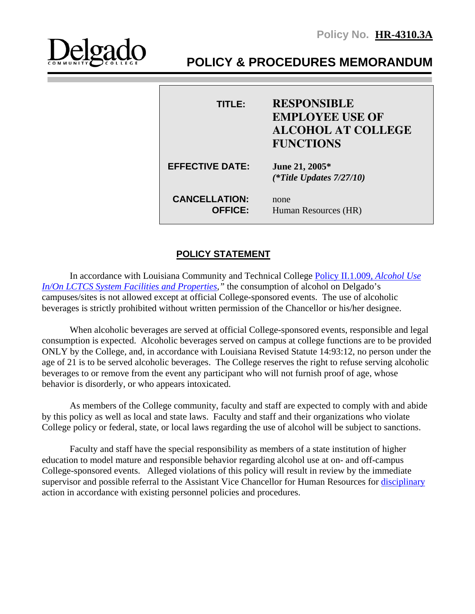

# **POLICY & PROCEDURES MEMORANDUM**

| TITLE:                                 | <b>RESPONSIBLE</b><br><b>EMPLOYEE USE OF</b><br><b>ALCOHOL AT COLLEGE</b><br><b>FUNCTIONS</b> |
|----------------------------------------|-----------------------------------------------------------------------------------------------|
| <b>EFFECTIVE DATE:</b>                 | June 21, 2005*<br>(*Title Updates $7/27/10$ )                                                 |
| <b>CANCELLATION:</b><br><b>OFFICE:</b> | none<br>Human Resources (HR)                                                                  |

## **POLICY STATEMENT**

In accordance with Louisiana Community and Technical College [Policy II.1.009,](http://www.lctcs.edu/assets/policies/4.009.pdf) *Alcohol Use [In/On LCTCS System Facilities and Properties,](http://www.lctcs.edu/assets/policies/4.009.pdf)"* the consumption of alcohol on Delgado's campuses/sites is not allowed except at official College-sponsored events. The use of alcoholic beverages is strictly prohibited without written permission of the Chancellor or his/her designee.

When alcoholic beverages are served at official College-sponsored events, responsible and legal consumption is expected. Alcoholic beverages served on campus at college functions are to be provided ONLY by the College, and, in accordance with Louisiana Revised Statute 14:93:12, no person under the age of 21 is to be served alcoholic beverages. The College reserves the right to refuse serving alcoholic beverages to or remove from the event any participant who will not furnish proof of age, whose behavior is disorderly, or who appears intoxicated.

As members of the College community, faculty and staff are expected to comply with and abide by this policy as well as local and state laws. Faculty and staff and their organizations who violate College policy or federal, state, or local laws regarding the use of alcohol will be subject to sanctions.

Faculty and staff have the special responsibility as members of a state institution of higher education to model mature and responsible behavior regarding alcohol use at on- and off-campus College-sponsored events. Alleged violations of this policy will result in review by the immediate supervisor and possible referral to the Assistant Vice Chancellor for Human Resources for [disciplinary](http://www.lctcs.edu/assets/policies/6.014.pdf) action in accordance with existing personnel policies and procedures.